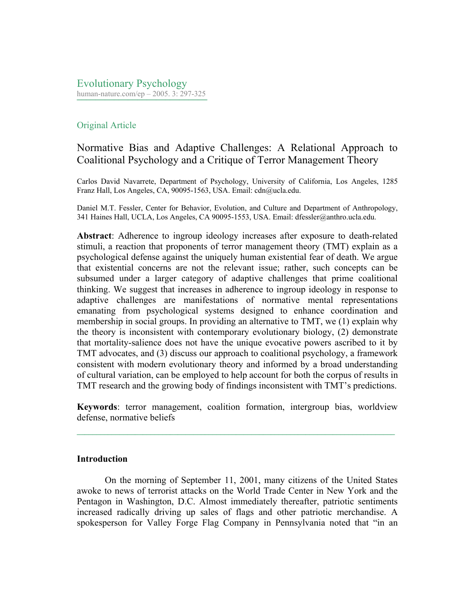# Evolutionary Psychology human-nature.com/ep – 2005. 3: 297-325

**\_\_\_\_\_\_\_\_\_\_\_\_\_\_\_\_\_\_\_\_\_\_\_\_\_\_\_\_\_** 

# Original Article

# Normative Bias and Adaptive Challenges: A Relational Approach to Coalitional Psychology and a Critique of Terror Management Theory

Carlos David Navarrete, Department of Psychology, University of California, Los Angeles, 1285 Franz Hall, Los Angeles, CA, 90095-1563, USA. Email: cdn@ucla.edu.

Daniel M.T. Fessler, Center for Behavior, Evolution, and Culture and Department of Anthropology, 341 Haines Hall, UCLA, Los Angeles, CA 90095-1553, USA. Email: dfessler@anthro.ucla.edu.

**Abstract**: Adherence to ingroup ideology increases after exposure to death-related stimuli, a reaction that proponents of terror management theory (TMT) explain as a psychological defense against the uniquely human existential fear of death. We argue that existential concerns are not the relevant issue; rather, such concepts can be subsumed under a larger category of adaptive challenges that prime coalitional thinking. We suggest that increases in adherence to ingroup ideology in response to adaptive challenges are manifestations of normative mental representations emanating from psychological systems designed to enhance coordination and membership in social groups. In providing an alternative to TMT, we (1) explain why the theory is inconsistent with contemporary evolutionary biology, (2) demonstrate that mortality-salience does not have the unique evocative powers ascribed to it by TMT advocates, and (3) discuss our approach to coalitional psychology, a framework consistent with modern evolutionary theory and informed by a broad understanding of cultural variation, can be employed to help account for both the corpus of results in TMT research and the growing body of findings inconsistent with TMT's predictions.

**Keywords**: terror management, coalition formation, intergroup bias, worldview defense, normative beliefs

**¯** 

## **Introduction**

On the morning of September 11, 2001, many citizens of the United States awoke to news of terrorist attacks on the World Trade Center in New York and the Pentagon in Washington, D.C. Almost immediately thereafter, patriotic sentiments increased radically driving up sales of flags and other patriotic merchandise. A spokesperson for Valley Forge Flag Company in Pennsylvania noted that "in an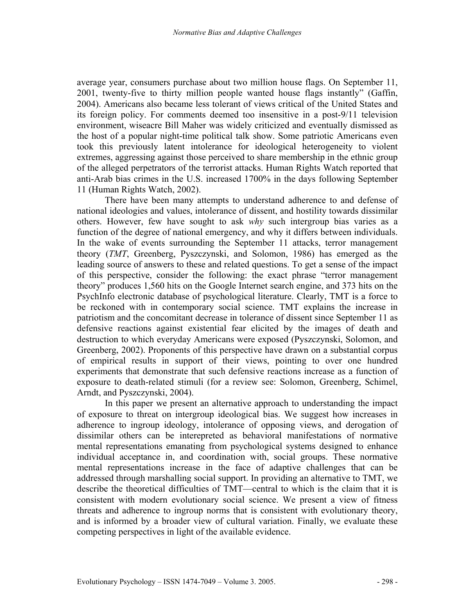average year, consumers purchase about two million house flags. On September 11, 2001, twenty-five to thirty million people wanted house flags instantly" (Gaffin, 2004). Americans also became less tolerant of views critical of the United States and its foreign policy. For comments deemed too insensitive in a post-9/11 television environment, wiseacre Bill Maher was widely criticized and eventually dismissed as the host of a popular night-time political talk show. Some patriotic Americans even took this previously latent intolerance for ideological heterogeneity to violent extremes, aggressing against those perceived to share membership in the ethnic group of the alleged perpetrators of the terrorist attacks. Human Rights Watch reported that anti-Arab bias crimes in the U.S. increased 1700% in the days following September 11 (Human Rights Watch, 2002).

There have been many attempts to understand adherence to and defense of national ideologies and values, intolerance of dissent, and hostility towards dissimilar others. However, few have sought to ask *why* such intergroup bias varies as a function of the degree of national emergency, and why it differs between individuals. In the wake of events surrounding the September 11 attacks, terror management theory (*TMT*, Greenberg, Pyszczynski, and Solomon, 1986) has emerged as the leading source of answers to these and related questions. To get a sense of the impact of this perspective, consider the following: the exact phrase "terror management theory" produces 1,560 hits on the Google Internet search engine, and 373 hits on the PsychInfo electronic database of psychological literature. Clearly, TMT is a force to be reckoned with in contemporary social science. TMT explains the increase in patriotism and the concomitant decrease in tolerance of dissent since September 11 as defensive reactions against existential fear elicited by the images of death and destruction to which everyday Americans were exposed (Pyszczynski, Solomon, and Greenberg, 2002). Proponents of this perspective have drawn on a substantial corpus of empirical results in support of their views, pointing to over one hundred experiments that demonstrate that such defensive reactions increase as a function of exposure to death-related stimuli (for a review see: Solomon, Greenberg, Schimel, Arndt, and Pyszczynski, 2004).

In this paper we present an alternative approach to understanding the impact of exposure to threat on intergroup ideological bias. We suggest how increases in adherence to ingroup ideology, intolerance of opposing views, and derogation of dissimilar others can be interepreted as behavioral manifestations of normative mental representations emanating from psychological systems designed to enhance individual acceptance in, and coordination with, social groups. These normative mental representations increase in the face of adaptive challenges that can be addressed through marshalling social support. In providing an alternative to TMT, we describe the theoretical difficulties of TMT—central to which is the claim that it is consistent with modern evolutionary social science. We present a view of fitness threats and adherence to ingroup norms that is consistent with evolutionary theory, and is informed by a broader view of cultural variation. Finally, we evaluate these competing perspectives in light of the available evidence.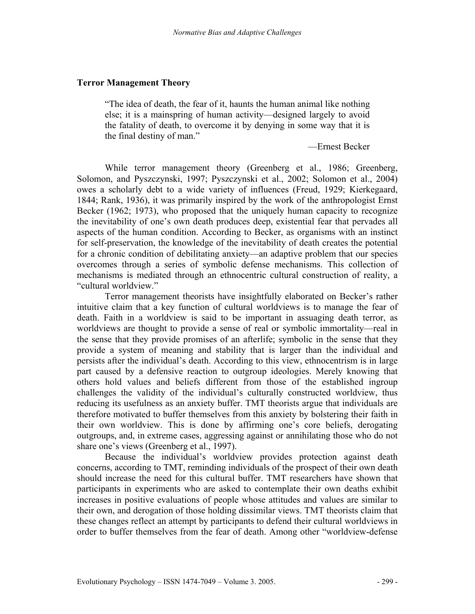#### **Terror Management Theory**

"The idea of death, the fear of it, haunts the human animal like nothing else; it is a mainspring of human activity—designed largely to avoid the fatality of death, to overcome it by denying in some way that it is the final destiny of man."

—Ernest Becker

While terror management theory (Greenberg et al., 1986; Greenberg, Solomon, and Pyszczynski, 1997; Pyszczynski et al., 2002; Solomon et al., 2004) owes a scholarly debt to a wide variety of influences (Freud, 1929; Kierkegaard, 1844; Rank, 1936), it was primarily inspired by the work of the anthropologist Ernst Becker (1962; 1973), who proposed that the uniquely human capacity to recognize the inevitability of one's own death produces deep, existential fear that pervades all aspects of the human condition. According to Becker, as organisms with an instinct for self-preservation, the knowledge of the inevitability of death creates the potential for a chronic condition of debilitating anxiety—an adaptive problem that our species overcomes through a series of symbolic defense mechanisms. This collection of mechanisms is mediated through an ethnocentric cultural construction of reality, a "cultural worldview."

Terror management theorists have insightfully elaborated on Becker's rather intuitive claim that a key function of cultural worldviews is to manage the fear of death. Faith in a worldview is said to be important in assuaging death terror, as worldviews are thought to provide a sense of real or symbolic immortality—real in the sense that they provide promises of an afterlife; symbolic in the sense that they provide a system of meaning and stability that is larger than the individual and persists after the individual's death. According to this view, ethnocentrism is in large part caused by a defensive reaction to outgroup ideologies. Merely knowing that others hold values and beliefs different from those of the established ingroup challenges the validity of the individual's culturally constructed worldview, thus reducing its usefulness as an anxiety buffer. TMT theorists argue that individuals are therefore motivated to buffer themselves from this anxiety by bolstering their faith in their own worldview. This is done by affirming one's core beliefs, derogating outgroups, and, in extreme cases, aggressing against or annihilating those who do not share one's views (Greenberg et al., 1997).

Because the individual's worldview provides protection against death concerns, according to TMT, reminding individuals of the prospect of their own death should increase the need for this cultural buffer. TMT researchers have shown that participants in experiments who are asked to contemplate their own deaths exhibit increases in positive evaluations of people whose attitudes and values are similar to their own, and derogation of those holding dissimilar views. TMT theorists claim that these changes reflect an attempt by participants to defend their cultural worldviews in order to buffer themselves from the fear of death. Among other "worldview-defense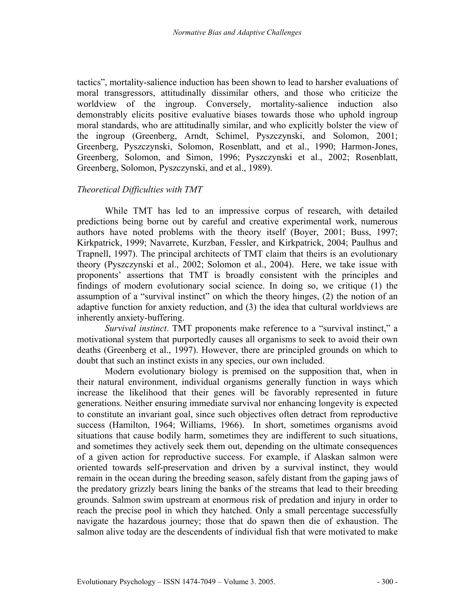tactics", mortality-salience induction has been shown to lead to harsher evaluations of moral transgressors, attitudinally dissimilar others, and those who criticize the worldview of the ingroup. Conversely, mortality-salience induction also demonstrably elicits positive evaluative biases towards those who uphold ingroup moral standards, who are attitudinally similar, and who explicitly bolster the view of the ingroup (Greenberg, Arndt, Schimel, Pyszczynski, and Solomon, 2001; Greenberg, Pyszczynski, Solomon, Rosenblatt, and et al., 1990; Harmon-Jones, Greenberg, Solomon, and Simon, 1996; Pyszczynski et al., 2002; Rosenblatt, Greenberg, Solomon, Pyszczynski, and et al., 1989).

## *Theoretical Difficulties with TMT*

While TMT has led to an impressive corpus of research, with detailed predictions being borne out by careful and creative experimental work, numerous authors have noted problems with the theory itself (Boyer, 2001; Buss, 1997; Kirkpatrick, 1999; Navarrete, Kurzban, Fessler, and Kirkpatrick, 2004; Paulhus and Trapnell, 1997). The principal architects of TMT claim that theirs is an evolutionary theory (Pyszczynski et al., 2002; Solomon et al., 2004). Here, we take issue with proponents' assertions that TMT is broadly consistent with the principles and findings of modern evolutionary social science. In doing so, we critique (1) the assumption of a "survival instinct" on which the theory hinges, (2) the notion of an adaptive function for anxiety reduction, and (3) the idea that cultural worldviews are inherently anxiety-buffering.

*Survival instinct*. TMT proponents make reference to a "survival instinct," a motivational system that purportedly causes all organisms to seek to avoid their own deaths (Greenberg et al., 1997). However, there are principled grounds on which to doubt that such an instinct exists in any species, our own included.

Modern evolutionary biology is premised on the supposition that, when in their natural environment, individual organisms generally function in ways which increase the likelihood that their genes will be favorably represented in future generations. Neither ensuring immediate survival nor enhancing longevity is expected to constitute an invariant goal, since such objectives often detract from reproductive success (Hamilton, 1964; Williams, 1966). In short, sometimes organisms avoid situations that cause bodily harm, sometimes they are indifferent to such situations, and sometimes they actively seek them out, depending on the ultimate consequences of a given action for reproductive success. For example, if Alaskan salmon were oriented towards self-preservation and driven by a survival instinct, they would remain in the ocean during the breeding season, safely distant from the gaping jaws of the predatory grizzly bears lining the banks of the streams that lead to their breeding grounds. Salmon swim upstream at enormous risk of predation and injury in order to reach the precise pool in which they hatched. Only a small percentage successfully navigate the hazardous journey; those that do spawn then die of exhaustion. The salmon alive today are the descendents of individual fish that were motivated to make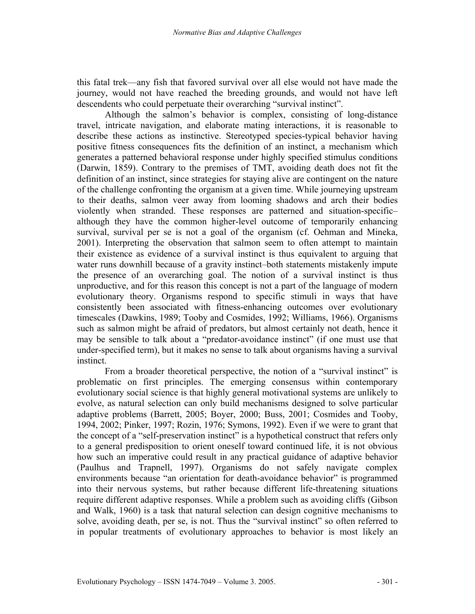this fatal trek—any fish that favored survival over all else would not have made the journey, would not have reached the breeding grounds, and would not have left descendents who could perpetuate their overarching "survival instinct".

Although the salmon's behavior is complex, consisting of long-distance travel, intricate navigation, and elaborate mating interactions, it is reasonable to describe these actions as instinctive. Stereotyped species-typical behavior having positive fitness consequences fits the definition of an instinct, a mechanism which generates a patterned behavioral response under highly specified stimulus conditions (Darwin, 1859). Contrary to the premises of TMT, avoiding death does not fit the definition of an instinct, since strategies for staying alive are contingent on the nature of the challenge confronting the organism at a given time. While journeying upstream to their deaths, salmon veer away from looming shadows and arch their bodies violently when stranded. These responses are patterned and situation-specific– although they have the common higher-level outcome of temporarily enhancing survival, survival per se is not a goal of the organism (cf. Oehman and Mineka, 2001). Interpreting the observation that salmon seem to often attempt to maintain their existence as evidence of a survival instinct is thus equivalent to arguing that water runs downhill because of a gravity instinct–both statements mistakenly impute the presence of an overarching goal. The notion of a survival instinct is thus unproductive, and for this reason this concept is not a part of the language of modern evolutionary theory. Organisms respond to specific stimuli in ways that have consistently been associated with fitness-enhancing outcomes over evolutionary timescales (Dawkins, 1989; Tooby and Cosmides, 1992; Williams, 1966). Organisms such as salmon might be afraid of predators, but almost certainly not death, hence it may be sensible to talk about a "predator-avoidance instinct" (if one must use that under-specified term), but it makes no sense to talk about organisms having a survival instinct.

From a broader theoretical perspective, the notion of a "survival instinct" is problematic on first principles. The emerging consensus within contemporary evolutionary social science is that highly general motivational systems are unlikely to evolve, as natural selection can only build mechanisms designed to solve particular adaptive problems (Barrett, 2005; Boyer, 2000; Buss, 2001; Cosmides and Tooby, 1994, 2002; Pinker, 1997; Rozin, 1976; Symons, 1992). Even if we were to grant that the concept of a "self-preservation instinct" is a hypothetical construct that refers only to a general predisposition to orient oneself toward continued life, it is not obvious how such an imperative could result in any practical guidance of adaptive behavior (Paulhus and Trapnell, 1997). Organisms do not safely navigate complex environments because "an orientation for death-avoidance behavior" is programmed into their nervous systems, but rather because different life-threatening situations require different adaptive responses. While a problem such as avoiding cliffs (Gibson and Walk, 1960) is a task that natural selection can design cognitive mechanisms to solve, avoiding death, per se, is not. Thus the "survival instinct" so often referred to in popular treatments of evolutionary approaches to behavior is most likely an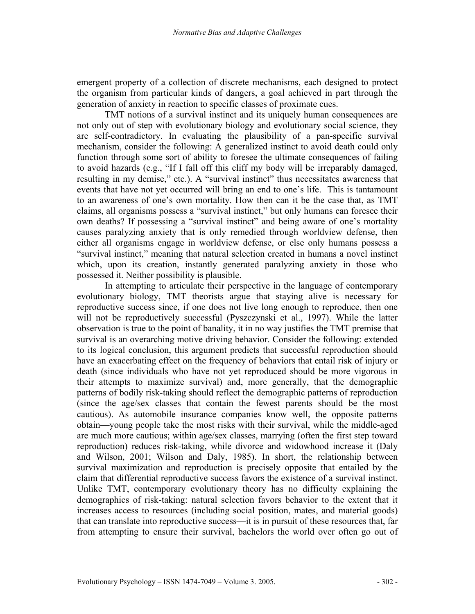emergent property of a collection of discrete mechanisms, each designed to protect the organism from particular kinds of dangers, a goal achieved in part through the generation of anxiety in reaction to specific classes of proximate cues.

TMT notions of a survival instinct and its uniquely human consequences are not only out of step with evolutionary biology and evolutionary social science, they are self-contradictory. In evaluating the plausibility of a pan-specific survival mechanism, consider the following: A generalized instinct to avoid death could only function through some sort of ability to foresee the ultimate consequences of failing to avoid hazards (e.g., "If I fall off this cliff my body will be irreparably damaged, resulting in my demise," etc.). A "survival instinct" thus necessitates awareness that events that have not yet occurred will bring an end to one's life. This is tantamount to an awareness of one's own mortality. How then can it be the case that, as TMT claims, all organisms possess a "survival instinct," but only humans can foresee their own deaths? If possessing a "survival instinct" and being aware of one's mortality causes paralyzing anxiety that is only remedied through worldview defense, then either all organisms engage in worldview defense, or else only humans possess a "survival instinct," meaning that natural selection created in humans a novel instinct which, upon its creation, instantly generated paralyzing anxiety in those who possessed it. Neither possibility is plausible.

In attempting to articulate their perspective in the language of contemporary evolutionary biology, TMT theorists argue that staying alive is necessary for reproductive success since, if one does not live long enough to reproduce, then one will not be reproductively successful (Pyszczynski et al., 1997). While the latter observation is true to the point of banality, it in no way justifies the TMT premise that survival is an overarching motive driving behavior. Consider the following: extended to its logical conclusion, this argument predicts that successful reproduction should have an exacerbating effect on the frequency of behaviors that entail risk of injury or death (since individuals who have not yet reproduced should be more vigorous in their attempts to maximize survival) and, more generally, that the demographic patterns of bodily risk-taking should reflect the demographic patterns of reproduction (since the age/sex classes that contain the fewest parents should be the most cautious). As automobile insurance companies know well, the opposite patterns obtain—young people take the most risks with their survival, while the middle-aged are much more cautious; within age/sex classes, marrying (often the first step toward reproduction) reduces risk-taking, while divorce and widowhood increase it (Daly and Wilson, 2001; Wilson and Daly, 1985). In short, the relationship between survival maximization and reproduction is precisely opposite that entailed by the claim that differential reproductive success favors the existence of a survival instinct. Unlike TMT, contemporary evolutionary theory has no difficulty explaining the demographics of risk-taking: natural selection favors behavior to the extent that it increases access to resources (including social position, mates, and material goods) that can translate into reproductive success—it is in pursuit of these resources that, far from attempting to ensure their survival, bachelors the world over often go out of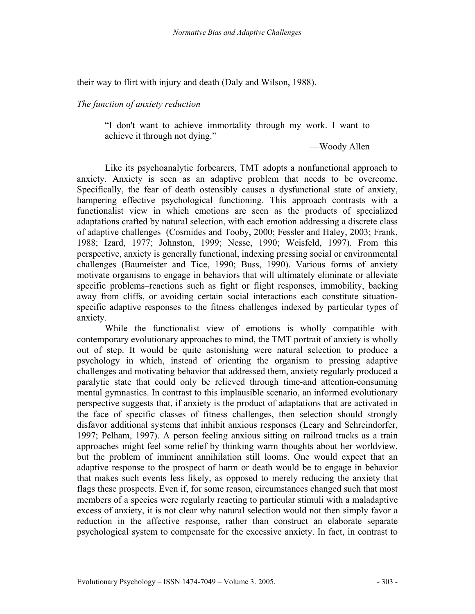their way to flirt with injury and death (Daly and Wilson, 1988).

## *The function of anxiety reduction*

"I don't want to achieve immortality through my work. I want to achieve it through not dying."

—Woody Allen

Like its psychoanalytic forbearers, TMT adopts a nonfunctional approach to anxiety. Anxiety is seen as an adaptive problem that needs to be overcome. Specifically, the fear of death ostensibly causes a dysfunctional state of anxiety, hampering effective psychological functioning. This approach contrasts with a functionalist view in which emotions are seen as the products of specialized adaptations crafted by natural selection, with each emotion addressing a discrete class of adaptive challenges (Cosmides and Tooby, 2000; Fessler and Haley, 2003; Frank, 1988; Izard, 1977; Johnston, 1999; Nesse, 1990; Weisfeld, 1997). From this perspective, anxiety is generally functional, indexing pressing social or environmental challenges (Baumeister and Tice, 1990; Buss, 1990). Various forms of anxiety motivate organisms to engage in behaviors that will ultimately eliminate or alleviate specific problems–reactions such as fight or flight responses, immobility, backing away from cliffs, or avoiding certain social interactions each constitute situationspecific adaptive responses to the fitness challenges indexed by particular types of anxiety.

While the functionalist view of emotions is wholly compatible with contemporary evolutionary approaches to mind, the TMT portrait of anxiety is wholly out of step. It would be quite astonishing were natural selection to produce a psychology in which, instead of orienting the organism to pressing adaptive challenges and motivating behavior that addressed them, anxiety regularly produced a paralytic state that could only be relieved through time-and attention-consuming mental gymnastics. In contrast to this implausible scenario, an informed evolutionary perspective suggests that, if anxiety is the product of adaptations that are activated in the face of specific classes of fitness challenges, then selection should strongly disfavor additional systems that inhibit anxious responses (Leary and Schreindorfer, 1997; Pelham, 1997). A person feeling anxious sitting on railroad tracks as a train approaches might feel some relief by thinking warm thoughts about her worldview, but the problem of imminent annihilation still looms. One would expect that an adaptive response to the prospect of harm or death would be to engage in behavior that makes such events less likely, as opposed to merely reducing the anxiety that flags these prospects. Even if, for some reason, circumstances changed such that most members of a species were regularly reacting to particular stimuli with a maladaptive excess of anxiety, it is not clear why natural selection would not then simply favor a reduction in the affective response, rather than construct an elaborate separate psychological system to compensate for the excessive anxiety. In fact, in contrast to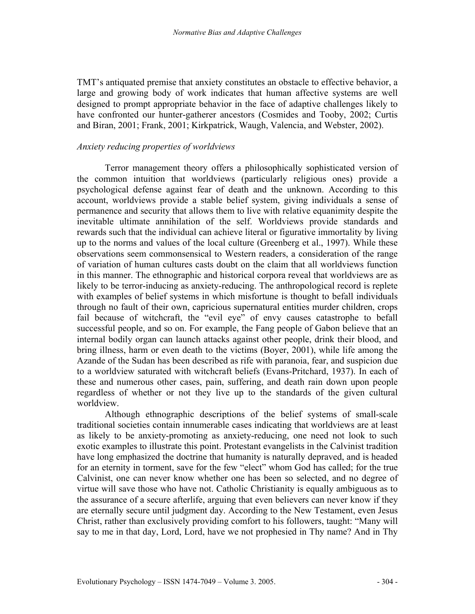TMT's antiquated premise that anxiety constitutes an obstacle to effective behavior, a large and growing body of work indicates that human affective systems are well designed to prompt appropriate behavior in the face of adaptive challenges likely to have confronted our hunter-gatherer ancestors (Cosmides and Tooby, 2002; Curtis and Biran, 2001; Frank, 2001; Kirkpatrick, Waugh, Valencia, and Webster, 2002).

#### *Anxiety reducing properties of worldviews*

Terror management theory offers a philosophically sophisticated version of the common intuition that worldviews (particularly religious ones) provide a psychological defense against fear of death and the unknown. According to this account, worldviews provide a stable belief system, giving individuals a sense of permanence and security that allows them to live with relative equanimity despite the inevitable ultimate annihilation of the self. Worldviews provide standards and rewards such that the individual can achieve literal or figurative immortality by living up to the norms and values of the local culture (Greenberg et al., 1997). While these observations seem commonsensical to Western readers, a consideration of the range of variation of human cultures casts doubt on the claim that all worldviews function in this manner. The ethnographic and historical corpora reveal that worldviews are as likely to be terror-inducing as anxiety-reducing. The anthropological record is replete with examples of belief systems in which misfortune is thought to befall individuals through no fault of their own, capricious supernatural entities murder children, crops fail because of witchcraft, the "evil eye" of envy causes catastrophe to befall successful people, and so on. For example, the Fang people of Gabon believe that an internal bodily organ can launch attacks against other people, drink their blood, and bring illness, harm or even death to the victims (Boyer, 2001), while life among the Azande of the Sudan has been described as rife with paranoia, fear, and suspicion due to a worldview saturated with witchcraft beliefs (Evans-Pritchard, 1937). In each of these and numerous other cases, pain, suffering, and death rain down upon people regardless of whether or not they live up to the standards of the given cultural worldview.

Although ethnographic descriptions of the belief systems of small-scale traditional societies contain innumerable cases indicating that worldviews are at least as likely to be anxiety-promoting as anxiety-reducing, one need not look to such exotic examples to illustrate this point. Protestant evangelists in the Calvinist tradition have long emphasized the doctrine that humanity is naturally depraved, and is headed for an eternity in torment, save for the few "elect" whom God has called; for the true Calvinist, one can never know whether one has been so selected, and no degree of virtue will save those who have not. Catholic Christianity is equally ambiguous as to the assurance of a secure afterlife, arguing that even believers can never know if they are eternally secure until judgment day. According to the New Testament, even Jesus Christ, rather than exclusively providing comfort to his followers, taught: "Many will say to me in that day, Lord, Lord, have we not prophesied in Thy name? And in Thy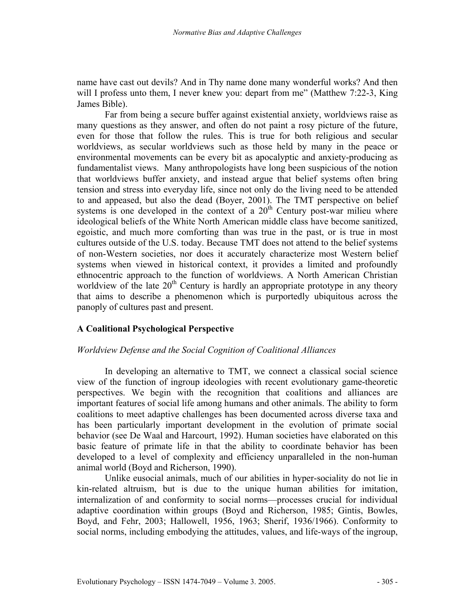name have cast out devils? And in Thy name done many wonderful works? And then will I profess unto them, I never knew you: depart from me" (Matthew 7:22-3, King James Bible).

Far from being a secure buffer against existential anxiety, worldviews raise as many questions as they answer, and often do not paint a rosy picture of the future, even for those that follow the rules. This is true for both religious and secular worldviews, as secular worldviews such as those held by many in the peace or environmental movements can be every bit as apocalyptic and anxiety-producing as fundamentalist views. Many anthropologists have long been suspicious of the notion that worldviews buffer anxiety, and instead argue that belief systems often bring tension and stress into everyday life, since not only do the living need to be attended to and appeased, but also the dead (Boyer, 2001). The TMT perspective on belief systems is one developed in the context of a  $20<sup>th</sup>$  Century post-war milieu where ideological beliefs of the White North American middle class have become sanitized, egoistic, and much more comforting than was true in the past, or is true in most cultures outside of the U.S. today. Because TMT does not attend to the belief systems of non-Western societies, nor does it accurately characterize most Western belief systems when viewed in historical context, it provides a limited and profoundly ethnocentric approach to the function of worldviews. A North American Christian worldview of the late  $20<sup>th</sup>$  Century is hardly an appropriate prototype in any theory that aims to describe a phenomenon which is purportedly ubiquitous across the panoply of cultures past and present.

# **A Coalitional Psychological Perspective**

## *Worldview Defense and the Social Cognition of Coalitional Alliances*

In developing an alternative to TMT, we connect a classical social science view of the function of ingroup ideologies with recent evolutionary game-theoretic perspectives. We begin with the recognition that coalitions and alliances are important features of social life among humans and other animals. The ability to form coalitions to meet adaptive challenges has been documented across diverse taxa and has been particularly important development in the evolution of primate social behavior (see De Waal and Harcourt, 1992). Human societies have elaborated on this basic feature of primate life in that the ability to coordinate behavior has been developed to a level of complexity and efficiency unparalleled in the non-human animal world (Boyd and Richerson, 1990).

Unlike eusocial animals, much of our abilities in hyper-sociality do not lie in kin-related altruism, but is due to the unique human abilities for imitation, internalization of and conformity to social norms—processes crucial for individual adaptive coordination within groups (Boyd and Richerson, 1985; Gintis, Bowles, Boyd, and Fehr, 2003; Hallowell, 1956, 1963; Sherif, 1936/1966). Conformity to social norms, including embodying the attitudes, values, and life-ways of the ingroup,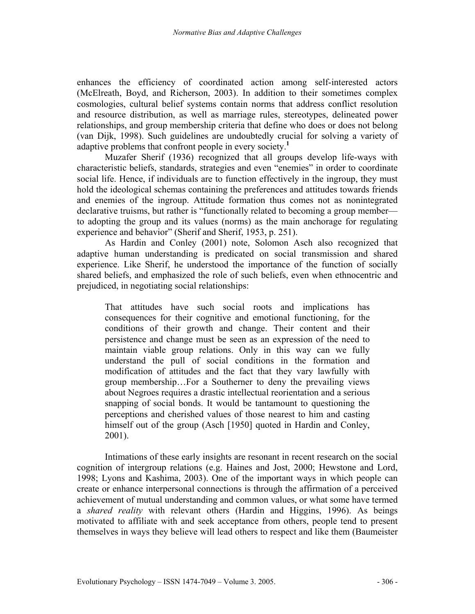enhances the efficiency of coordinated action among self-interested actors (McElreath, Boyd, and Richerson, 2003). In addition to their sometimes complex cosmologies, cultural belief systems contain norms that address conflict resolution and resource distribution, as well as marriage rules, stereotypes, delineated power relationships, and group membership criteria that define who does or does not belong (van Dijk, 1998). Such guidelines are undoubtedly crucial for solving a variety of adaptive problems that confront people in every society.**<sup>1</sup>**

Muzafer Sherif (1936) recognized that all groups develop life-ways with characteristic beliefs, standards, strategies and even "enemies" in order to coordinate social life. Hence, if individuals are to function effectively in the ingroup, they must hold the ideological schemas containing the preferences and attitudes towards friends and enemies of the ingroup. Attitude formation thus comes not as nonintegrated declarative truisms, but rather is "functionally related to becoming a group member to adopting the group and its values (norms) as the main anchorage for regulating experience and behavior" (Sherif and Sherif, 1953, p. 251).

As Hardin and Conley (2001) note, Solomon Asch also recognized that adaptive human understanding is predicated on social transmission and shared experience. Like Sherif, he understood the importance of the function of socially shared beliefs, and emphasized the role of such beliefs, even when ethnocentric and prejudiced, in negotiating social relationships:

That attitudes have such social roots and implications has consequences for their cognitive and emotional functioning, for the conditions of their growth and change. Their content and their persistence and change must be seen as an expression of the need to maintain viable group relations. Only in this way can we fully understand the pull of social conditions in the formation and modification of attitudes and the fact that they vary lawfully with group membership…For a Southerner to deny the prevailing views about Negroes requires a drastic intellectual reorientation and a serious snapping of social bonds. It would be tantamount to questioning the perceptions and cherished values of those nearest to him and casting himself out of the group (Asch [1950] quoted in Hardin and Conley, 2001).

Intimations of these early insights are resonant in recent research on the social cognition of intergroup relations (e.g. Haines and Jost, 2000; Hewstone and Lord, 1998; Lyons and Kashima, 2003). One of the important ways in which people can create or enhance interpersonal connections is through the affirmation of a perceived achievement of mutual understanding and common values, or what some have termed a *shared reality* with relevant others (Hardin and Higgins, 1996). As beings motivated to affiliate with and seek acceptance from others, people tend to present themselves in ways they believe will lead others to respect and like them (Baumeister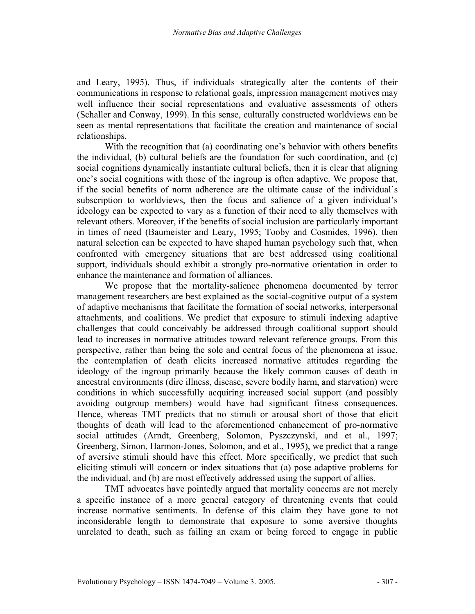and Leary, 1995). Thus, if individuals strategically alter the contents of their communications in response to relational goals, impression management motives may well influence their social representations and evaluative assessments of others (Schaller and Conway, 1999). In this sense, culturally constructed worldviews can be seen as mental representations that facilitate the creation and maintenance of social relationships.

With the recognition that (a) coordinating one's behavior with others benefits the individual, (b) cultural beliefs are the foundation for such coordination, and (c) social cognitions dynamically instantiate cultural beliefs, then it is clear that aligning one's social cognitions with those of the ingroup is often adaptive. We propose that, if the social benefits of norm adherence are the ultimate cause of the individual's subscription to worldviews, then the focus and salience of a given individual's ideology can be expected to vary as a function of their need to ally themselves with relevant others. Moreover, if the benefits of social inclusion are particularly important in times of need (Baumeister and Leary, 1995; Tooby and Cosmides, 1996), then natural selection can be expected to have shaped human psychology such that, when confronted with emergency situations that are best addressed using coalitional support, individuals should exhibit a strongly pro-normative orientation in order to enhance the maintenance and formation of alliances.

We propose that the mortality-salience phenomena documented by terror management researchers are best explained as the social-cognitive output of a system of adaptive mechanisms that facilitate the formation of social networks, interpersonal attachments, and coalitions. We predict that exposure to stimuli indexing adaptive challenges that could conceivably be addressed through coalitional support should lead to increases in normative attitudes toward relevant reference groups. From this perspective, rather than being the sole and central focus of the phenomena at issue, the contemplation of death elicits increased normative attitudes regarding the ideology of the ingroup primarily because the likely common causes of death in ancestral environments (dire illness, disease, severe bodily harm, and starvation) were conditions in which successfully acquiring increased social support (and possibly avoiding outgroup members) would have had significant fitness consequences. Hence, whereas TMT predicts that no stimuli or arousal short of those that elicit thoughts of death will lead to the aforementioned enhancement of pro-normative social attitudes (Arndt, Greenberg, Solomon, Pyszczynski, and et al., 1997; Greenberg, Simon, Harmon-Jones, Solomon, and et al., 1995), we predict that a range of aversive stimuli should have this effect. More specifically, we predict that such eliciting stimuli will concern or index situations that (a) pose adaptive problems for the individual, and (b) are most effectively addressed using the support of allies.

TMT advocates have pointedly argued that mortality concerns are not merely a specific instance of a more general category of threatening events that could increase normative sentiments. In defense of this claim they have gone to not inconsiderable length to demonstrate that exposure to some aversive thoughts unrelated to death, such as failing an exam or being forced to engage in public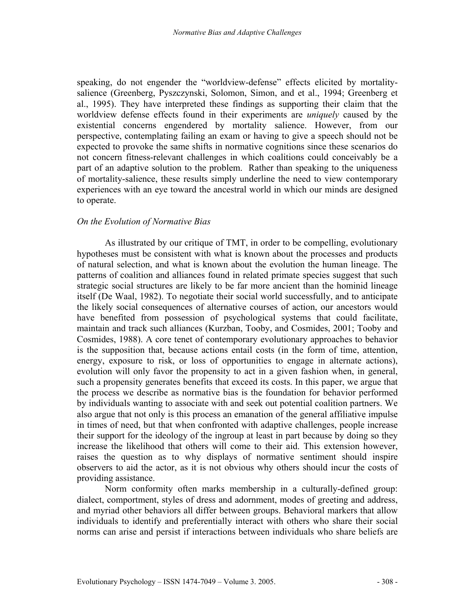speaking, do not engender the "worldview-defense" effects elicited by mortalitysalience (Greenberg, Pyszczynski, Solomon, Simon, and et al., 1994; Greenberg et al., 1995). They have interpreted these findings as supporting their claim that the worldview defense effects found in their experiments are *uniquely* caused by the existential concerns engendered by mortality salience. However, from our perspective, contemplating failing an exam or having to give a speech should not be expected to provoke the same shifts in normative cognitions since these scenarios do not concern fitness-relevant challenges in which coalitions could conceivably be a part of an adaptive solution to the problem. Rather than speaking to the uniqueness of mortality-salience, these results simply underline the need to view contemporary experiences with an eye toward the ancestral world in which our minds are designed to operate.

#### *On the Evolution of Normative Bias*

As illustrated by our critique of TMT, in order to be compelling, evolutionary hypotheses must be consistent with what is known about the processes and products of natural selection, and what is known about the evolution the human lineage. The patterns of coalition and alliances found in related primate species suggest that such strategic social structures are likely to be far more ancient than the hominid lineage itself (De Waal, 1982). To negotiate their social world successfully, and to anticipate the likely social consequences of alternative courses of action, our ancestors would have benefited from possession of psychological systems that could facilitate, maintain and track such alliances (Kurzban, Tooby, and Cosmides, 2001; Tooby and Cosmides, 1988). A core tenet of contemporary evolutionary approaches to behavior is the supposition that, because actions entail costs (in the form of time, attention, energy, exposure to risk, or loss of opportunities to engage in alternate actions), evolution will only favor the propensity to act in a given fashion when, in general, such a propensity generates benefits that exceed its costs. In this paper, we argue that the process we describe as normative bias is the foundation for behavior performed by individuals wanting to associate with and seek out potential coalition partners. We also argue that not only is this process an emanation of the general affiliative impulse in times of need, but that when confronted with adaptive challenges, people increase their support for the ideology of the ingroup at least in part because by doing so they increase the likelihood that others will come to their aid. This extension however, raises the question as to why displays of normative sentiment should inspire observers to aid the actor, as it is not obvious why others should incur the costs of providing assistance.

Norm conformity often marks membership in a culturally-defined group: dialect, comportment, styles of dress and adornment, modes of greeting and address, and myriad other behaviors all differ between groups. Behavioral markers that allow individuals to identify and preferentially interact with others who share their social norms can arise and persist if interactions between individuals who share beliefs are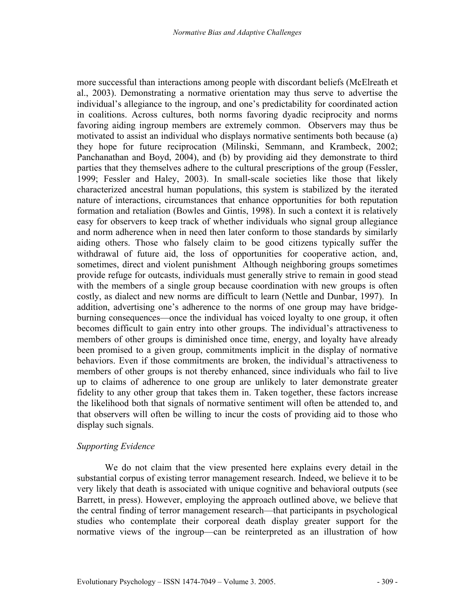more successful than interactions among people with discordant beliefs (McElreath et al., 2003). Demonstrating a normative orientation may thus serve to advertise the individual's allegiance to the ingroup, and one's predictability for coordinated action in coalitions. Across cultures, both norms favoring dyadic reciprocity and norms favoring aiding ingroup members are extremely common. Observers may thus be motivated to assist an individual who displays normative sentiments both because (a) they hope for future reciprocation (Milinski, Semmann, and Krambeck, 2002; Panchanathan and Boyd, 2004), and (b) by providing aid they demonstrate to third parties that they themselves adhere to the cultural prescriptions of the group (Fessler, 1999; Fessler and Haley, 2003). In small-scale societies like those that likely characterized ancestral human populations, this system is stabilized by the iterated nature of interactions, circumstances that enhance opportunities for both reputation formation and retaliation (Bowles and Gintis, 1998). In such a context it is relatively easy for observers to keep track of whether individuals who signal group allegiance and norm adherence when in need then later conform to those standards by similarly aiding others. Those who falsely claim to be good citizens typically suffer the withdrawal of future aid, the loss of opportunities for cooperative action, and, sometimes, direct and violent punishment Although neighboring groups sometimes provide refuge for outcasts, individuals must generally strive to remain in good stead with the members of a single group because coordination with new groups is often costly, as dialect and new norms are difficult to learn (Nettle and Dunbar, 1997). In addition, advertising one's adherence to the norms of one group may have bridgeburning consequences—once the individual has voiced loyalty to one group, it often becomes difficult to gain entry into other groups. The individual's attractiveness to members of other groups is diminished once time, energy, and loyalty have already been promised to a given group, commitments implicit in the display of normative behaviors. Even if those commitments are broken, the individual's attractiveness to members of other groups is not thereby enhanced, since individuals who fail to live up to claims of adherence to one group are unlikely to later demonstrate greater fidelity to any other group that takes them in. Taken together, these factors increase the likelihood both that signals of normative sentiment will often be attended to, and that observers will often be willing to incur the costs of providing aid to those who display such signals.

## *Supporting Evidence*

We do not claim that the view presented here explains every detail in the substantial corpus of existing terror management research. Indeed, we believe it to be very likely that death is associated with unique cognitive and behavioral outputs (see Barrett, in press). However, employing the approach outlined above, we believe that the central finding of terror management research—that participants in psychological studies who contemplate their corporeal death display greater support for the normative views of the ingroup—can be reinterpreted as an illustration of how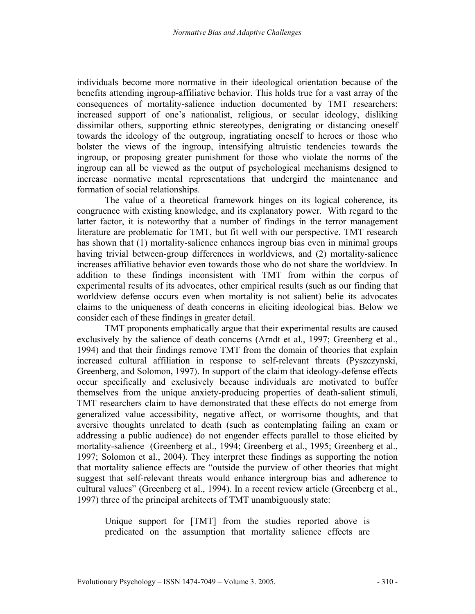individuals become more normative in their ideological orientation because of the benefits attending ingroup-affiliative behavior. This holds true for a vast array of the consequences of mortality-salience induction documented by TMT researchers: increased support of one's nationalist, religious, or secular ideology, disliking dissimilar others, supporting ethnic stereotypes, denigrating or distancing oneself towards the ideology of the outgroup, ingratiating oneself to heroes or those who bolster the views of the ingroup, intensifying altruistic tendencies towards the ingroup, or proposing greater punishment for those who violate the norms of the ingroup can all be viewed as the output of psychological mechanisms designed to increase normative mental representations that undergird the maintenance and formation of social relationships.

The value of a theoretical framework hinges on its logical coherence, its congruence with existing knowledge, and its explanatory power. With regard to the latter factor, it is noteworthy that a number of findings in the terror management literature are problematic for TMT, but fit well with our perspective. TMT research has shown that (1) mortality-salience enhances ingroup bias even in minimal groups having trivial between-group differences in worldviews, and (2) mortality-salience increases affiliative behavior even towards those who do not share the worldview. In addition to these findings inconsistent with TMT from within the corpus of experimental results of its advocates, other empirical results (such as our finding that worldview defense occurs even when mortality is not salient) belie its advocates claims to the uniqueness of death concerns in eliciting ideological bias. Below we consider each of these findings in greater detail.

TMT proponents emphatically argue that their experimental results are caused exclusively by the salience of death concerns (Arndt et al., 1997; Greenberg et al., 1994) and that their findings remove TMT from the domain of theories that explain increased cultural affiliation in response to self-relevant threats (Pyszczynski, Greenberg, and Solomon, 1997). In support of the claim that ideology-defense effects occur specifically and exclusively because individuals are motivated to buffer themselves from the unique anxiety-producing properties of death-salient stimuli, TMT researchers claim to have demonstrated that these effects do not emerge from generalized value accessibility, negative affect, or worrisome thoughts, and that aversive thoughts unrelated to death (such as contemplating failing an exam or addressing a public audience) do not engender effects parallel to those elicited by mortality-salience (Greenberg et al., 1994; Greenberg et al., 1995; Greenberg et al., 1997; Solomon et al., 2004). They interpret these findings as supporting the notion that mortality salience effects are "outside the purview of other theories that might suggest that self-relevant threats would enhance intergroup bias and adherence to cultural values" (Greenberg et al., 1994). In a recent review article (Greenberg et al., 1997) three of the principal architects of TMT unambiguously state:

Unique support for [TMT] from the studies reported above is predicated on the assumption that mortality salience effects are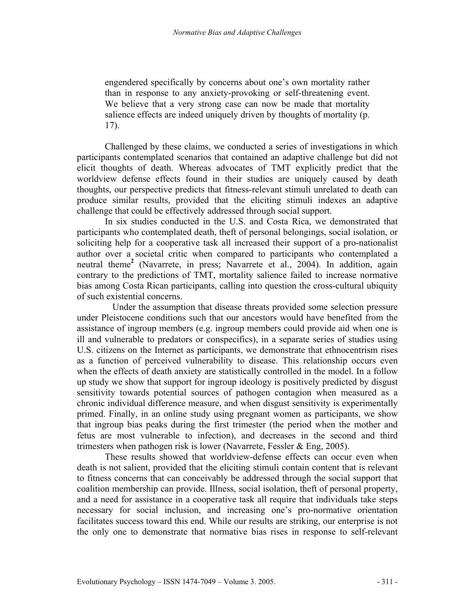engendered specifically by concerns about one's own mortality rather than in response to any anxiety-provoking or self-threatening event. We believe that a very strong case can now be made that mortality salience effects are indeed uniquely driven by thoughts of mortality (p. 17).

Challenged by these claims, we conducted a series of investigations in which participants contemplated scenarios that contained an adaptive challenge but did not elicit thoughts of death. Whereas advocates of TMT explicitly predict that the worldview defense effects found in their studies are uniquely caused by death thoughts, our perspective predicts that fitness-relevant stimuli unrelated to death can produce similar results, provided that the eliciting stimuli indexes an adaptive challenge that could be effectively addressed through social support.

In six studies conducted in the U.S. and Costa Rica, we demonstrated that participants who contemplated death, theft of personal belongings, social isolation, or soliciting help for a cooperative task all increased their support of a pro-nationalist author over a societal critic when compared to participants who contemplated a neutral theme<sup>2</sup> (Navarrete, in press; Navarrete et al., 2004). In addition, again contrary to the predictions of TMT, mortality salience failed to increase normative bias among Costa Rican participants, calling into question the cross-cultural ubiquity of such existential concerns.

Under the assumption that disease threats provided some selection pressure under Pleistocene conditions such that our ancestors would have benefited from the assistance of ingroup members (e.g. ingroup members could provide aid when one is ill and vulnerable to predators or conspecifics), in a separate series of studies using U.S. citizens on the Internet as participants, we demonstrate that ethnocentrism rises as a function of perceived vulnerability to disease. This relationship occurs even when the effects of death anxiety are statistically controlled in the model. In a follow up study we show that support for ingroup ideology is positively predicted by disgust sensitivity towards potential sources of pathogen contagion when measured as a chronic individual difference measure, and when disgust sensitivity is experimentally primed. Finally, in an online study using pregnant women as participants, we show that ingroup bias peaks during the first trimester (the period when the mother and fetus are most vulnerable to infection), and decreases in the second and third trimesters when pathogen risk is lower (Navarrete, Fessler & Eng, 2005).

These results showed that worldview-defense effects can occur even when death is not salient, provided that the eliciting stimuli contain content that is relevant to fitness concerns that can conceivably be addressed through the social support that coalition membership can provide. Illness, social isolation, theft of personal property, and a need for assistance in a cooperative task all require that individuals take steps necessary for social inclusion, and increasing one's pro-normative orientation facilitates success toward this end. While our results are striking, our enterprise is not the only one to demonstrate that normative bias rises in response to self-relevant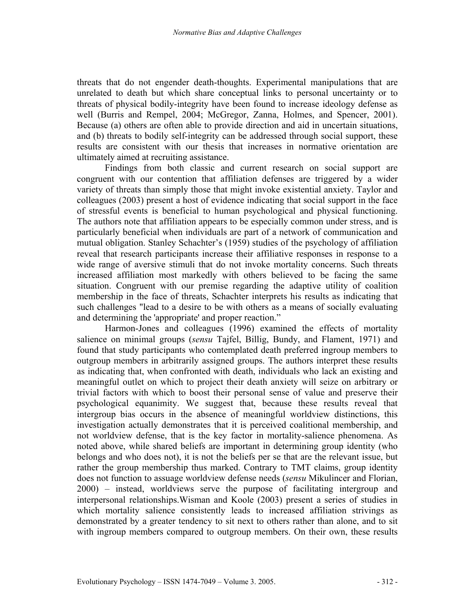threats that do not engender death-thoughts. Experimental manipulations that are unrelated to death but which share conceptual links to personal uncertainty or to threats of physical bodily-integrity have been found to increase ideology defense as well (Burris and Rempel, 2004; McGregor, Zanna, Holmes, and Spencer, 2001). Because (a) others are often able to provide direction and aid in uncertain situations, and (b) threats to bodily self-integrity can be addressed through social support, these results are consistent with our thesis that increases in normative orientation are ultimately aimed at recruiting assistance.

Findings from both classic and current research on social support are congruent with our contention that affiliation defenses are triggered by a wider variety of threats than simply those that might invoke existential anxiety. Taylor and colleagues (2003) present a host of evidence indicating that social support in the face of stressful events is beneficial to human psychological and physical functioning. The authors note that affiliation appears to be especially common under stress, and is particularly beneficial when individuals are part of a network of communication and mutual obligation. Stanley Schachter's (1959) studies of the psychology of affiliation reveal that research participants increase their affiliative responses in response to a wide range of aversive stimuli that do not invoke mortality concerns. Such threats increased affiliation most markedly with others believed to be facing the same situation. Congruent with our premise regarding the adaptive utility of coalition membership in the face of threats, Schachter interprets his results as indicating that such challenges "lead to a desire to be with others as a means of socially evaluating and determining the 'appropriate' and proper reaction."

Harmon-Jones and colleagues (1996) examined the effects of mortality salience on minimal groups (*sensu* Tajfel, Billig, Bundy, and Flament, 1971) and found that study participants who contemplated death preferred ingroup members to outgroup members in arbitrarily assigned groups. The authors interpret these results as indicating that, when confronted with death, individuals who lack an existing and meaningful outlet on which to project their death anxiety will seize on arbitrary or trivial factors with which to boost their personal sense of value and preserve their psychological equanimity. We suggest that, because these results reveal that intergroup bias occurs in the absence of meaningful worldview distinctions, this investigation actually demonstrates that it is perceived coalitional membership, and not worldview defense, that is the key factor in mortality-salience phenomena. As noted above, while shared beliefs are important in determining group identity (who belongs and who does not), it is not the beliefs per se that are the relevant issue, but rather the group membership thus marked. Contrary to TMT claims, group identity does not function to assuage worldview defense needs (*sensu* Mikulincer and Florian, 2000) – instead, worldviews serve the purpose of facilitating intergroup and interpersonal relationships.Wisman and Koole (2003) present a series of studies in which mortality salience consistently leads to increased affiliation strivings as demonstrated by a greater tendency to sit next to others rather than alone, and to sit with ingroup members compared to outgroup members. On their own, these results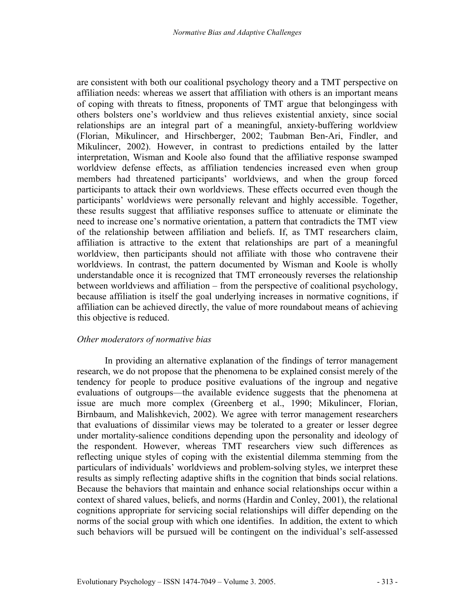are consistent with both our coalitional psychology theory and a TMT perspective on affiliation needs: whereas we assert that affiliation with others is an important means of coping with threats to fitness, proponents of TMT argue that belongingess with others bolsters one's worldview and thus relieves existential anxiety, since social relationships are an integral part of a meaningful, anxiety-buffering worldview (Florian, Mikulincer, and Hirschberger, 2002; Taubman Ben-Ari, Findler, and Mikulincer, 2002). However, in contrast to predictions entailed by the latter interpretation, Wisman and Koole also found that the affiliative response swamped worldview defense effects, as affiliation tendencies increased even when group members had threatened participants' worldviews, and when the group forced participants to attack their own worldviews. These effects occurred even though the participants' worldviews were personally relevant and highly accessible. Together, these results suggest that affiliative responses suffice to attenuate or eliminate the need to increase one's normative orientation, a pattern that contradicts the TMT view of the relationship between affiliation and beliefs. If, as TMT researchers claim, affiliation is attractive to the extent that relationships are part of a meaningful worldview, then participants should not affiliate with those who contravene their worldviews. In contrast, the pattern documented by Wisman and Koole is wholly understandable once it is recognized that TMT erroneously reverses the relationship between worldviews and affiliation – from the perspective of coalitional psychology, because affiliation is itself the goal underlying increases in normative cognitions, if affiliation can be achieved directly, the value of more roundabout means of achieving this objective is reduced.

## *Other moderators of normative bias*

In providing an alternative explanation of the findings of terror management research, we do not propose that the phenomena to be explained consist merely of the tendency for people to produce positive evaluations of the ingroup and negative evaluations of outgroups—the available evidence suggests that the phenomena at issue are much more complex (Greenberg et al., 1990; Mikulincer, Florian, Birnbaum, and Malishkevich, 2002). We agree with terror management researchers that evaluations of dissimilar views may be tolerated to a greater or lesser degree under mortality-salience conditions depending upon the personality and ideology of the respondent. However, whereas TMT researchers view such differences as reflecting unique styles of coping with the existential dilemma stemming from the particulars of individuals' worldviews and problem-solving styles, we interpret these results as simply reflecting adaptive shifts in the cognition that binds social relations. Because the behaviors that maintain and enhance social relationships occur within a context of shared values, beliefs, and norms (Hardin and Conley, 2001), the relational cognitions appropriate for servicing social relationships will differ depending on the norms of the social group with which one identifies. In addition, the extent to which such behaviors will be pursued will be contingent on the individual's self-assessed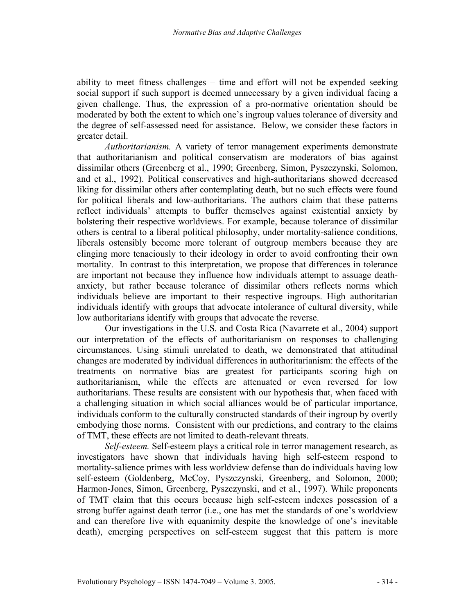ability to meet fitness challenges – time and effort will not be expended seeking social support if such support is deemed unnecessary by a given individual facing a given challenge. Thus, the expression of a pro-normative orientation should be moderated by both the extent to which one's ingroup values tolerance of diversity and the degree of self-assessed need for assistance. Below, we consider these factors in greater detail.

*Authoritarianism.* A variety of terror management experiments demonstrate that authoritarianism and political conservatism are moderators of bias against dissimilar others (Greenberg et al., 1990; Greenberg, Simon, Pyszczynski, Solomon, and et al., 1992). Political conservatives and high-authoritarians showed decreased liking for dissimilar others after contemplating death, but no such effects were found for political liberals and low-authoritarians. The authors claim that these patterns reflect individuals' attempts to buffer themselves against existential anxiety by bolstering their respective worldviews. For example, because tolerance of dissimilar others is central to a liberal political philosophy, under mortality-salience conditions, liberals ostensibly become more tolerant of outgroup members because they are clinging more tenaciously to their ideology in order to avoid confronting their own mortality. In contrast to this interpretation, we propose that differences in tolerance are important not because they influence how individuals attempt to assuage deathanxiety, but rather because tolerance of dissimilar others reflects norms which individuals believe are important to their respective ingroups. High authoritarian individuals identify with groups that advocate intolerance of cultural diversity, while low authoritarians identify with groups that advocate the reverse.

Our investigations in the U.S. and Costa Rica (Navarrete et al., 2004) support our interpretation of the effects of authoritarianism on responses to challenging circumstances. Using stimuli unrelated to death, we demonstrated that attitudinal changes are moderated by individual differences in authoritarianism: the effects of the treatments on normative bias are greatest for participants scoring high on authoritarianism, while the effects are attenuated or even reversed for low authoritarians. These results are consistent with our hypothesis that, when faced with a challenging situation in which social alliances would be of particular importance, individuals conform to the culturally constructed standards of their ingroup by overtly embodying those norms. Consistent with our predictions, and contrary to the claims of TMT, these effects are not limited to death-relevant threats.

*Self-esteem.* Self-esteem plays a critical role in terror management research, as investigators have shown that individuals having high self-esteem respond to mortality-salience primes with less worldview defense than do individuals having low self-esteem (Goldenberg, McCoy, Pyszczynski, Greenberg, and Solomon, 2000; Harmon-Jones, Simon, Greenberg, Pyszczynski, and et al., 1997). While proponents of TMT claim that this occurs because high self-esteem indexes possession of a strong buffer against death terror (i.e., one has met the standards of one's worldview and can therefore live with equanimity despite the knowledge of one's inevitable death), emerging perspectives on self-esteem suggest that this pattern is more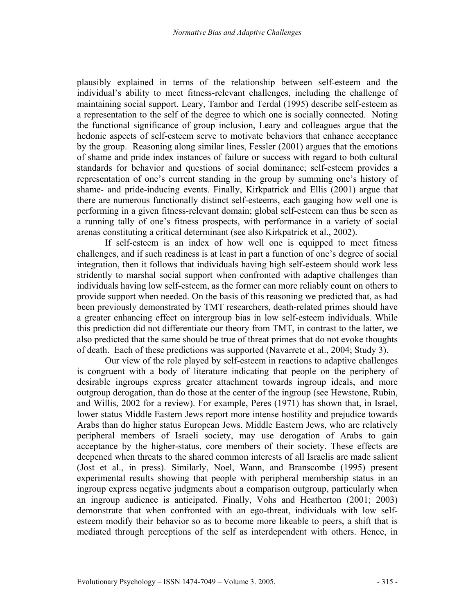plausibly explained in terms of the relationship between self-esteem and the individual's ability to meet fitness-relevant challenges, including the challenge of maintaining social support. Leary, Tambor and Terdal (1995) describe self-esteem as a representation to the self of the degree to which one is socially connected. Noting the functional significance of group inclusion, Leary and colleagues argue that the hedonic aspects of self-esteem serve to motivate behaviors that enhance acceptance by the group. Reasoning along similar lines, Fessler (2001) argues that the emotions of shame and pride index instances of failure or success with regard to both cultural standards for behavior and questions of social dominance; self-esteem provides a representation of one's current standing in the group by summing one's history of shame- and pride-inducing events. Finally, Kirkpatrick and Ellis (2001) argue that there are numerous functionally distinct self-esteems, each gauging how well one is performing in a given fitness-relevant domain; global self-esteem can thus be seen as a running tally of one's fitness prospects, with performance in a variety of social arenas constituting a critical determinant (see also Kirkpatrick et al., 2002).

If self-esteem is an index of how well one is equipped to meet fitness challenges, and if such readiness is at least in part a function of one's degree of social integration, then it follows that individuals having high self-esteem should work less stridently to marshal social support when confronted with adaptive challenges than individuals having low self-esteem, as the former can more reliably count on others to provide support when needed. On the basis of this reasoning we predicted that, as had been previously demonstrated by TMT researchers, death-related primes should have a greater enhancing effect on intergroup bias in low self-esteem individuals. While this prediction did not differentiate our theory from TMT, in contrast to the latter, we also predicted that the same should be true of threat primes that do not evoke thoughts of death. Each of these predictions was supported (Navarrete et al., 2004; Study 3).

Our view of the role played by self-esteem in reactions to adaptive challenges is congruent with a body of literature indicating that people on the periphery of desirable ingroups express greater attachment towards ingroup ideals, and more outgroup derogation, than do those at the center of the ingroup (see Hewstone, Rubin, and Willis, 2002 for a review). For example, Peres (1971) has shown that, in Israel, lower status Middle Eastern Jews report more intense hostility and prejudice towards Arabs than do higher status European Jews. Middle Eastern Jews, who are relatively peripheral members of Israeli society, may use derogation of Arabs to gain acceptance by the higher-status, core members of their society. These effects are deepened when threats to the shared common interests of all Israelis are made salient (Jost et al., in press). Similarly, Noel, Wann, and Branscombe (1995) present experimental results showing that people with peripheral membership status in an ingroup express negative judgments about a comparison outgroup, particularly when an ingroup audience is anticipated. Finally, Vohs and Heatherton (2001; 2003) demonstrate that when confronted with an ego-threat, individuals with low selfesteem modify their behavior so as to become more likeable to peers, a shift that is mediated through perceptions of the self as interdependent with others. Hence, in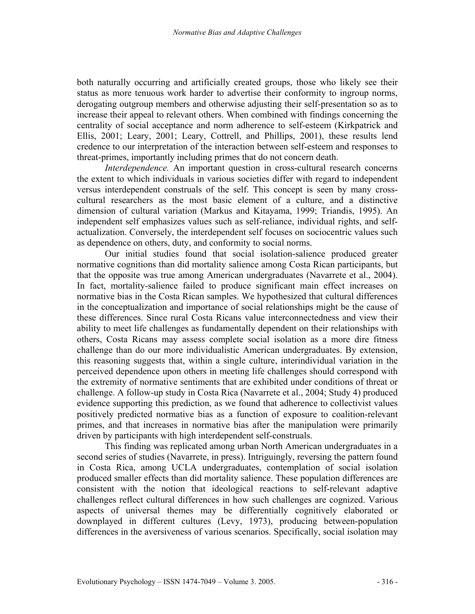both naturally occurring and artificially created groups, those who likely see their status as more tenuous work harder to advertise their conformity to ingroup norms, derogating outgroup members and otherwise adjusting their self-presentation so as to increase their appeal to relevant others. When combined with findings concerning the centrality of social acceptance and norm adherence to self-esteem (Kirkpatrick and Ellis, 2001; Leary, 2001; Leary, Cottrell, and Phillips, 2001), these results lend credence to our interpretation of the interaction between self-esteem and responses to threat-primes, importantly including primes that do not concern death.

*Interdependence.* An important question in cross-cultural research concerns the extent to which individuals in various societies differ with regard to independent versus interdependent construals of the self. This concept is seen by many crosscultural researchers as the most basic element of a culture, and a distinctive dimension of cultural variation (Markus and Kitayama, 1999; Triandis, 1995). An independent self emphasizes values such as self-reliance, individual rights, and selfactualization. Conversely, the interdependent self focuses on sociocentric values such as dependence on others, duty, and conformity to social norms.

Our initial studies found that social isolation-salience produced greater normative cognitions than did mortality salience among Costa Rican participants, but that the opposite was true among American undergraduates (Navarrete et al., 2004). In fact, mortality-salience failed to produce significant main effect increases on normative bias in the Costa Rican samples. We hypothesized that cultural differences in the conceptualization and importance of social relationships might be the cause of these differences. Since rural Costa Ricans value interconnectedness and view their ability to meet life challenges as fundamentally dependent on their relationships with others, Costa Ricans may assess complete social isolation as a more dire fitness challenge than do our more individualistic American undergraduates. By extension, this reasoning suggests that, within a single culture, interindividual variation in the perceived dependence upon others in meeting life challenges should correspond with the extremity of normative sentiments that are exhibited under conditions of threat or challenge. A follow-up study in Costa Rica (Navarrete et al., 2004; Study 4) produced evidence supporting this prediction, as we found that adherence to collectivist values positively predicted normative bias as a function of exposure to coalition-relevant primes, and that increases in normative bias after the manipulation were primarily driven by participants with high interdependent self-construals.

This finding was replicated among urban North American undergraduates in a second series of studies (Navarrete, in press). Intriguingly, reversing the pattern found in Costa Rica, among UCLA undergraduates, contemplation of social isolation produced smaller effects than did mortality salience. These population differences are consistent with the notion that ideological reactions to self-relevant adaptive challenges reflect cultural differences in how such challenges are cognized. Various aspects of universal themes may be differentially cognitively elaborated or downplayed in different cultures (Levy, 1973), producing between-population differences in the aversiveness of various scenarios. Specifically, social isolation may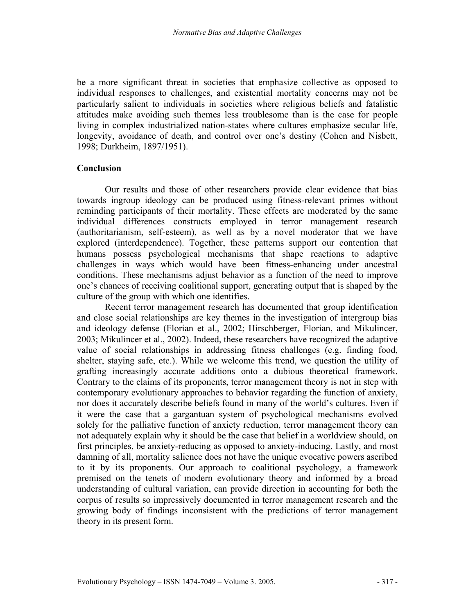be a more significant threat in societies that emphasize collective as opposed to individual responses to challenges, and existential mortality concerns may not be particularly salient to individuals in societies where religious beliefs and fatalistic attitudes make avoiding such themes less troublesome than is the case for people living in complex industrialized nation-states where cultures emphasize secular life, longevity, avoidance of death, and control over one's destiny (Cohen and Nisbett, 1998; Durkheim, 1897/1951).

#### **Conclusion**

Our results and those of other researchers provide clear evidence that bias towards ingroup ideology can be produced using fitness-relevant primes without reminding participants of their mortality. These effects are moderated by the same individual differences constructs employed in terror management research (authoritarianism, self-esteem), as well as by a novel moderator that we have explored (interdependence). Together, these patterns support our contention that humans possess psychological mechanisms that shape reactions to adaptive challenges in ways which would have been fitness-enhancing under ancestral conditions. These mechanisms adjust behavior as a function of the need to improve one's chances of receiving coalitional support, generating output that is shaped by the culture of the group with which one identifies.

Recent terror management research has documented that group identification and close social relationships are key themes in the investigation of intergroup bias and ideology defense (Florian et al., 2002; Hirschberger, Florian, and Mikulincer, 2003; Mikulincer et al., 2002). Indeed, these researchers have recognized the adaptive value of social relationships in addressing fitness challenges (e.g. finding food, shelter, staying safe, etc.). While we welcome this trend, we question the utility of grafting increasingly accurate additions onto a dubious theoretical framework. Contrary to the claims of its proponents, terror management theory is not in step with contemporary evolutionary approaches to behavior regarding the function of anxiety, nor does it accurately describe beliefs found in many of the world's cultures. Even if it were the case that a gargantuan system of psychological mechanisms evolved solely for the palliative function of anxiety reduction, terror management theory can not adequately explain why it should be the case that belief in a worldview should, on first principles, be anxiety-reducing as opposed to anxiety-inducing. Lastly, and most damning of all, mortality salience does not have the unique evocative powers ascribed to it by its proponents. Our approach to coalitional psychology, a framework premised on the tenets of modern evolutionary theory and informed by a broad understanding of cultural variation, can provide direction in accounting for both the corpus of results so impressively documented in terror management research and the growing body of findings inconsistent with the predictions of terror management theory in its present form.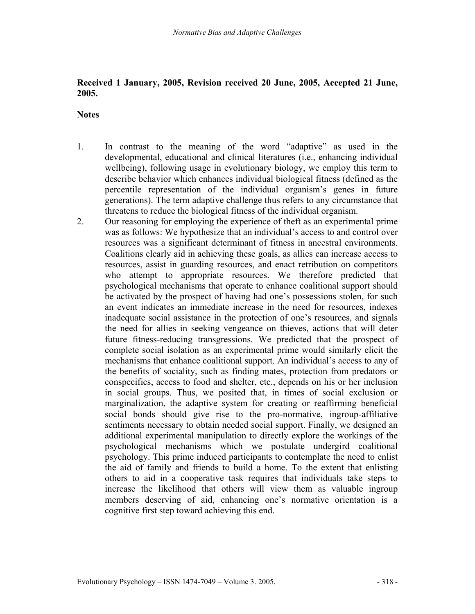# **Received 1 January, 2005, Revision received 20 June, 2005, Accepted 21 June, 2005.**

## **Notes**

- 1. In contrast to the meaning of the word "adaptive" as used in the developmental, educational and clinical literatures (i.e., enhancing individual wellbeing), following usage in evolutionary biology, we employ this term to describe behavior which enhances individual biological fitness (defined as the percentile representation of the individual organism's genes in future generations). The term adaptive challenge thus refers to any circumstance that threatens to reduce the biological fitness of the individual organism.
- 2. Our reasoning for employing the experience of theft as an experimental prime was as follows: We hypothesize that an individual's access to and control over resources was a significant determinant of fitness in ancestral environments. Coalitions clearly aid in achieving these goals, as allies can increase access to resources, assist in guarding resources, and enact retribution on competitors who attempt to appropriate resources. We therefore predicted that psychological mechanisms that operate to enhance coalitional support should be activated by the prospect of having had one's possessions stolen, for such an event indicates an immediate increase in the need for resources, indexes inadequate social assistance in the protection of one's resources, and signals the need for allies in seeking vengeance on thieves, actions that will deter future fitness-reducing transgressions. We predicted that the prospect of complete social isolation as an experimental prime would similarly elicit the mechanisms that enhance coalitional support. An individual's access to any of the benefits of sociality, such as finding mates, protection from predators or conspecifics, access to food and shelter, etc., depends on his or her inclusion in social groups. Thus, we posited that, in times of social exclusion or marginalization, the adaptive system for creating or reaffirming beneficial social bonds should give rise to the pro-normative, ingroup-affiliative sentiments necessary to obtain needed social support. Finally, we designed an additional experimental manipulation to directly explore the workings of the psychological mechanisms which we postulate undergird coalitional psychology. This prime induced participants to contemplate the need to enlist the aid of family and friends to build a home. To the extent that enlisting others to aid in a cooperative task requires that individuals take steps to increase the likelihood that others will view them as valuable ingroup members deserving of aid, enhancing one's normative orientation is a cognitive first step toward achieving this end.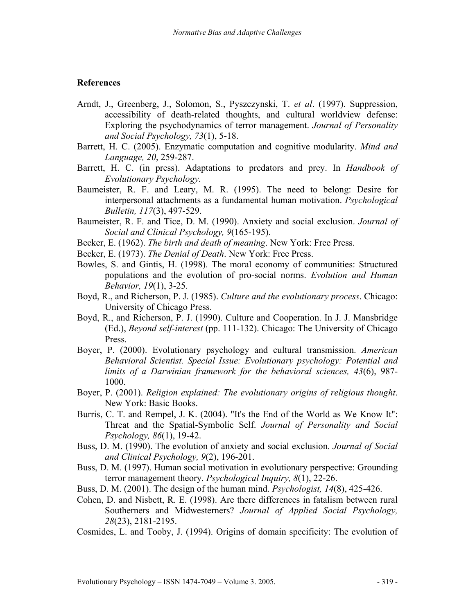#### **References**

- Arndt, J., Greenberg, J., Solomon, S., Pyszczynski, T. *et al*. (1997). Suppression, accessibility of death-related thoughts, and cultural worldview defense: Exploring the psychodynamics of terror management. *Journal of Personality and Social Psychology, 73*(1), 5-18.
- Barrett, H. C. (2005). Enzymatic computation and cognitive modularity. *Mind and Language, 20*, 259-287.
- Barrett, H. C. (in press). Adaptations to predators and prey. In *Handbook of Evolutionary Psychology*.
- Baumeister, R. F. and Leary, M. R. (1995). The need to belong: Desire for interpersonal attachments as a fundamental human motivation. *Psychological Bulletin, 117*(3), 497-529.
- Baumeister, R. F. and Tice, D. M. (1990). Anxiety and social exclusion. *Journal of Social and Clinical Psychology, 9*(165-195).
- Becker, E. (1962). *The birth and death of meaning*. New York: Free Press.
- Becker, E. (1973). *The Denial of Death*. New York: Free Press.
- Bowles, S. and Gintis, H. (1998). The moral economy of communities: Structured populations and the evolution of pro-social norms. *Evolution and Human Behavior, 19*(1), 3-25.
- Boyd, R., and Richerson, P. J. (1985). *Culture and the evolutionary process*. Chicago: University of Chicago Press.
- Boyd, R., and Richerson, P. J. (1990). Culture and Cooperation. In J. J. Mansbridge (Ed.), *Beyond self-interest* (pp. 111-132). Chicago: The University of Chicago Press.
- Boyer, P. (2000). Evolutionary psychology and cultural transmission. *American Behavioral Scientist. Special Issue: Evolutionary psychology: Potential and limits of a Darwinian framework for the behavioral sciences, 43*(6), 987- 1000.
- Boyer, P. (2001). *Religion explained: The evolutionary origins of religious thought*. New York: Basic Books.
- Burris, C. T. and Rempel, J. K. (2004). "It's the End of the World as We Know It": Threat and the Spatial-Symbolic Self. *Journal of Personality and Social Psychology, 86*(1), 19-42.
- Buss, D. M. (1990). The evolution of anxiety and social exclusion. *Journal of Social and Clinical Psychology, 9*(2), 196-201.
- Buss, D. M. (1997). Human social motivation in evolutionary perspective: Grounding terror management theory. *Psychological Inquiry, 8*(1), 22-26.
- Buss, D. M. (2001). The design of the human mind. *Psychologist, 14*(8), 425-426.
- Cohen, D. and Nisbett, R. E. (1998). Are there differences in fatalism between rural Southerners and Midwesterners? *Journal of Applied Social Psychology, 28*(23), 2181-2195.
- Cosmides, L. and Tooby, J. (1994). Origins of domain specificity: The evolution of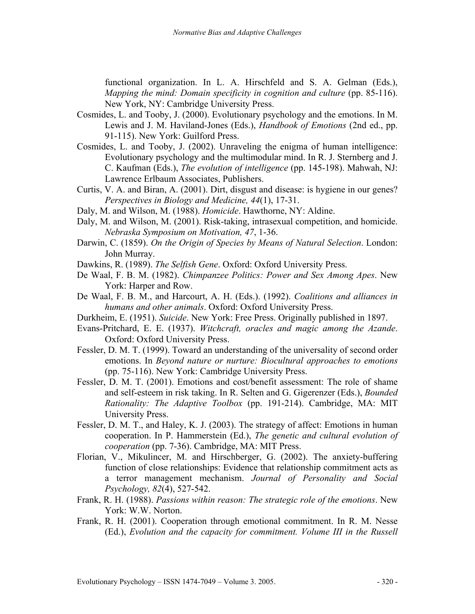functional organization. In L. A. Hirschfeld and S. A. Gelman (Eds.), *Mapping the mind: Domain specificity in cognition and culture* (pp. 85-116). New York, NY: Cambridge University Press.

- Cosmides, L. and Tooby, J. (2000). Evolutionary psychology and the emotions. In M. Lewis and J. M. Haviland-Jones (Eds.), *Handbook of Emotions* (2nd ed., pp. 91-115). New York: Guilford Press.
- Cosmides, L. and Tooby, J. (2002). Unraveling the enigma of human intelligence: Evolutionary psychology and the multimodular mind. In R. J. Sternberg and J. C. Kaufman (Eds.), *The evolution of intelligence* (pp. 145-198). Mahwah, NJ: Lawrence Erlbaum Associates, Publishers.
- Curtis, V. A. and Biran, A. (2001). Dirt, disgust and disease: is hygiene in our genes? *Perspectives in Biology and Medicine, 44*(1), 17-31.
- Daly, M. and Wilson, M. (1988). *Homicide*. Hawthorne, NY: Aldine.
- Daly, M. and Wilson, M. (2001). Risk-taking, intrasexual competition, and homicide. *Nebraska Symposium on Motivation, 47*, 1-36.
- Darwin, C. (1859). *On the Origin of Species by Means of Natural Selection*. London: John Murray.
- Dawkins, R. (1989). *The Selfish Gene*. Oxford: Oxford University Press.
- De Waal, F. B. M. (1982). *Chimpanzee Politics: Power and Sex Among Apes*. New York: Harper and Row.
- De Waal, F. B. M., and Harcourt, A. H. (Eds.). (1992). *Coalitions and alliances in humans and other animals*. Oxford: Oxford University Press.
- Durkheim, E. (1951). *Suicide*. New York: Free Press. Originally published in 1897.
- Evans-Pritchard, E. E. (1937). *Witchcraft, oracles and magic among the Azande*. Oxford: Oxford University Press.
- Fessler, D. M. T. (1999). Toward an understanding of the universality of second order emotions. In *Beyond nature or nurture: Biocultural approaches to emotions* (pp. 75-116). New York: Cambridge University Press.
- Fessler, D. M. T. (2001). Emotions and cost/benefit assessment: The role of shame and self-esteem in risk taking. In R. Selten and G. Gigerenzer (Eds.), *Bounded Rationality: The Adaptive Toolbox* (pp. 191-214). Cambridge, MA: MIT University Press.
- Fessler, D. M. T., and Haley, K. J. (2003). The strategy of affect: Emotions in human cooperation. In P. Hammerstein (Ed.), *The genetic and cultural evolution of cooperation* (pp. 7-36). Cambridge, MA: MIT Press.
- Florian, V., Mikulincer, M. and Hirschberger, G. (2002). The anxiety-buffering function of close relationships: Evidence that relationship commitment acts as a terror management mechanism. *Journal of Personality and Social Psychology, 82*(4), 527-542.
- Frank, R. H. (1988). *Passions within reason: The strategic role of the emotions*. New York: W.W. Norton.
- Frank, R. H. (2001). Cooperation through emotional commitment. In R. M. Nesse (Ed.), *Evolution and the capacity for commitment. Volume III in the Russell*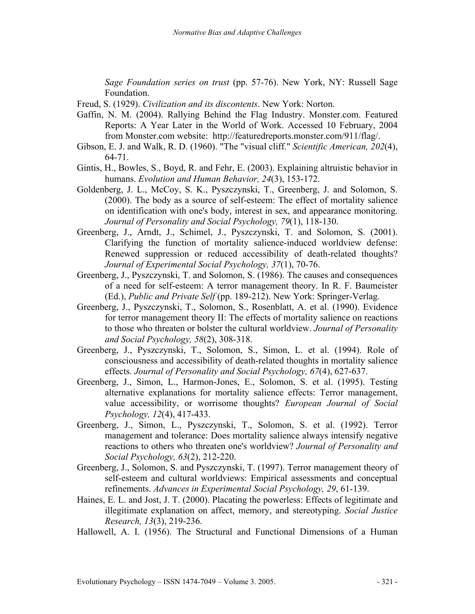*Sage Foundation series on trust* (pp. 57-76). New York, NY: Russell Sage Foundation.

Freud, S. (1929). *Civilization and its discontents*. New York: Norton.

- Gaffin, N. M. (2004). Rallying Behind the Flag Industry. Monster.com. Featured Reports: A Year Later in the World of Work. Accessed 10 February, 2004 from Monster.com website: http://featuredreports.monster.com/911/flag/.
- Gibson, E. J. and Walk, R. D. (1960). "The "visual cliff." *Scientific American, 202*(4), 64-71.
- Gintis, H., Bowles, S., Boyd, R. and Fehr, E. (2003). Explaining altruistic behavior in humans. *Evolution and Human Behavior, 24*(3), 153-172.
- Goldenberg, J. L., McCoy, S. K., Pyszczynski, T., Greenberg, J. and Solomon, S. (2000). The body as a source of self-esteem: The effect of mortality salience on identification with one's body, interest in sex, and appearance monitoring. *Journal of Personality and Social Psychology, 79*(1), 118-130.
- Greenberg, J., Arndt, J., Schimel, J., Pyszczynski, T. and Solomon, S. (2001). Clarifying the function of mortality salience-induced worldview defense: Renewed suppression or reduced accessibility of death-related thoughts? *Journal of Experimental Social Psychology, 37*(1), 70-76.
- Greenberg, J., Pyszczynski, T. and Solomon, S. (1986). The causes and consequences of a need for self-esteem: A terror management theory. In R. F. Baumeister (Ed.), *Public and Private Self* (pp. 189-212). New York: Springer-Verlag.
- Greenberg, J., Pyszczynski, T., Solomon, S., Rosenblatt, A. et al. (1990). Evidence for terror management theory II: The effects of mortality salience on reactions to those who threaten or bolster the cultural worldview. *Journal of Personality and Social Psychology, 58*(2), 308-318.
- Greenberg, J., Pyszczynski, T., Solomon, S., Simon, L. et al. (1994). Role of consciousness and accessibility of death-related thoughts in mortality salience effects. *Journal of Personality and Social Psychology, 67*(4), 627-637.
- Greenberg, J., Simon, L., Harmon-Jones, E., Solomon, S. et al. (1995). Testing alternative explanations for mortality salience effects: Terror management, value accessibility, or worrisome thoughts? *European Journal of Social Psychology, 12*(4), 417-433.
- Greenberg, J., Simon, L., Pyszczynski, T., Solomon, S. et al. (1992). Terror management and tolerance: Does mortality salience always intensify negative reactions to others who threaten one's worldview? *Journal of Personality and Social Psychology, 63*(2), 212-220.
- Greenberg, J., Solomon, S. and Pyszczynski, T. (1997). Terror management theory of self-esteem and cultural worldviews: Empirical assessments and conceptual refinements. *Advances in Experimental Social Psychology, 29*, 61-139.
- Haines, E. L. and Jost, J. T. (2000). Placating the powerless: Effects of legitimate and illegitimate explanation on affect, memory, and stereotyping. *Social Justice Research, 13*(3), 219-236.
- Hallowell, A. I. (1956). The Structural and Functional Dimensions of a Human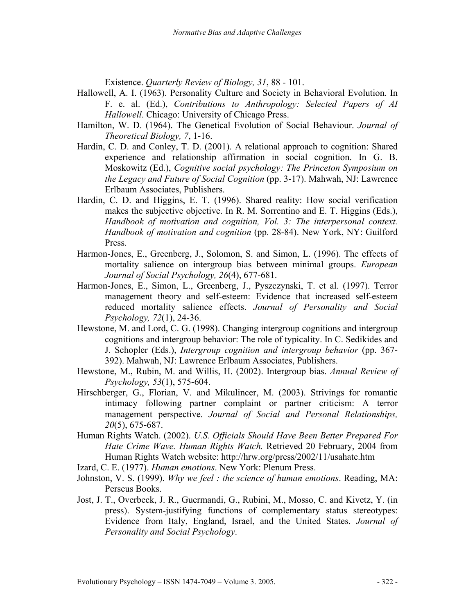Existence. *Quarterly Review of Biology, 31*, 88 - 101.

- Hallowell, A. I. (1963). Personality Culture and Society in Behavioral Evolution. In F. e. al. (Ed.), *Contributions to Anthropology: Selected Papers of AI Hallowell*. Chicago: University of Chicago Press.
- Hamilton, W. D. (1964). The Genetical Evolution of Social Behaviour. *Journal of Theoretical Biology, 7*, 1-16.
- Hardin, C. D. and Conley, T. D. (2001). A relational approach to cognition: Shared experience and relationship affirmation in social cognition. In G. B. Moskowitz (Ed.), *Cognitive social psychology: The Princeton Symposium on the Legacy and Future of Social Cognition* (pp. 3-17). Mahwah, NJ: Lawrence Erlbaum Associates, Publishers.
- Hardin, C. D. and Higgins, E. T. (1996). Shared reality: How social verification makes the subjective objective. In R. M. Sorrentino and E. T. Higgins (Eds.), *Handbook of motivation and cognition, Vol. 3: The interpersonal context. Handbook of motivation and cognition* (pp. 28-84). New York, NY: Guilford Press.
- Harmon-Jones, E., Greenberg, J., Solomon, S. and Simon, L. (1996). The effects of mortality salience on intergroup bias between minimal groups. *European Journal of Social Psychology, 26*(4), 677-681.
- Harmon-Jones, E., Simon, L., Greenberg, J., Pyszczynski, T. et al. (1997). Terror management theory and self-esteem: Evidence that increased self-esteem reduced mortality salience effects. *Journal of Personality and Social Psychology, 72*(1), 24-36.
- Hewstone, M. and Lord, C. G. (1998). Changing intergroup cognitions and intergroup cognitions and intergroup behavior: The role of typicality. In C. Sedikides and J. Schopler (Eds.), *Intergroup cognition and intergroup behavior* (pp. 367- 392). Mahwah, NJ: Lawrence Erlbaum Associates, Publishers.
- Hewstone, M., Rubin, M. and Willis, H. (2002). Intergroup bias. *Annual Review of Psychology, 53*(1), 575-604.
- Hirschberger, G., Florian, V. and Mikulincer, M. (2003). Strivings for romantic intimacy following partner complaint or partner criticism: A terror management perspective. *Journal of Social and Personal Relationships, 20*(5), 675-687.
- Human Rights Watch. (2002). *U.S. Officials Should Have Been Better Prepared For Hate Crime Wave. Human Rights Watch.* Retrieved 20 February, 2004 from Human Rights Watch website: http://hrw.org/press/2002/11/usahate.htm
- Izard, C. E. (1977). *Human emotions*. New York: Plenum Press.
- Johnston, V. S. (1999). *Why we feel : the science of human emotions*. Reading, MA: Perseus Books.
- Jost, J. T., Overbeck, J. R., Guermandi, G., Rubini, M., Mosso, C. and Kivetz, Y. (in press). System-justifying functions of complementary status stereotypes: Evidence from Italy, England, Israel, and the United States. *Journal of Personality and Social Psychology*.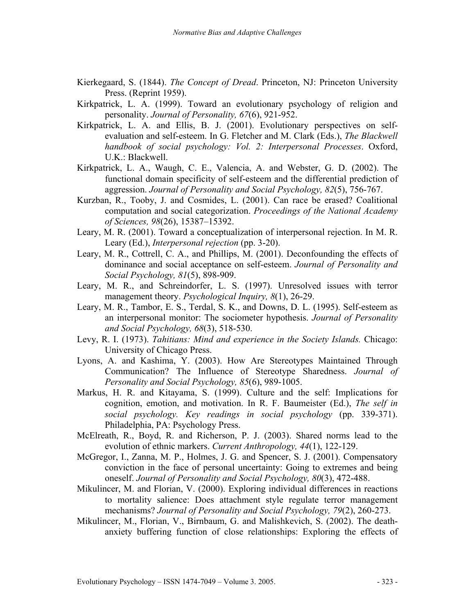- Kierkegaard, S. (1844). *The Concept of Dread*. Princeton, NJ: Princeton University Press. (Reprint 1959).
- Kirkpatrick, L. A. (1999). Toward an evolutionary psychology of religion and personality. *Journal of Personality, 67*(6), 921-952.
- Kirkpatrick, L. A. and Ellis, B. J. (2001). Evolutionary perspectives on selfevaluation and self-esteem. In G. Fletcher and M. Clark (Eds.), *The Blackwell handbook of social psychology: Vol. 2: Interpersonal Processes*. Oxford, U.K.: Blackwell.
- Kirkpatrick, L. A., Waugh, C. E., Valencia, A. and Webster, G. D. (2002). The functional domain specificity of self-esteem and the differential prediction of aggression. *Journal of Personality and Social Psychology, 82*(5), 756-767.
- Kurzban, R., Tooby, J. and Cosmides, L. (2001). Can race be erased? Coalitional computation and social categorization. *Proceedings of the National Academy of Sciences, 98*(26), 15387–15392.
- Leary, M. R. (2001). Toward a conceptualization of interpersonal rejection. In M. R. Leary (Ed.), *Interpersonal rejection* (pp. 3-20).
- Leary, M. R., Cottrell, C. A., and Phillips, M. (2001). Deconfounding the effects of dominance and social acceptance on self-esteem. *Journal of Personality and Social Psychology, 81*(5), 898-909.
- Leary, M. R., and Schreindorfer, L. S. (1997). Unresolved issues with terror management theory. *Psychological Inquiry, 8*(1), 26-29.
- Leary, M. R., Tambor, E. S., Terdal, S. K., and Downs, D. L. (1995). Self-esteem as an interpersonal monitor: The sociometer hypothesis. *Journal of Personality and Social Psychology, 68*(3), 518-530.
- Levy, R. I. (1973). *Tahitians: Mind and experience in the Society Islands.* Chicago: University of Chicago Press.
- Lyons, A. and Kashima, Y. (2003). How Are Stereotypes Maintained Through Communication? The Influence of Stereotype Sharedness. *Journal of Personality and Social Psychology, 85*(6), 989-1005.
- Markus, H. R. and Kitayama, S. (1999). Culture and the self: Implications for cognition, emotion, and motivation. In R. F. Baumeister (Ed.), *The self in social psychology. Key readings in social psychology* (pp. 339-371). Philadelphia, PA: Psychology Press.
- McElreath, R., Boyd, R. and Richerson, P. J. (2003). Shared norms lead to the evolution of ethnic markers. *Current Anthropology, 44*(1), 122-129.
- McGregor, I., Zanna, M. P., Holmes, J. G. and Spencer, S. J. (2001). Compensatory conviction in the face of personal uncertainty: Going to extremes and being oneself. *Journal of Personality and Social Psychology, 80*(3), 472-488.
- Mikulincer, M. and Florian, V. (2000). Exploring individual differences in reactions to mortality salience: Does attachment style regulate terror management mechanisms? *Journal of Personality and Social Psychology, 79*(2), 260-273.
- Mikulincer, M., Florian, V., Birnbaum, G. and Malishkevich, S. (2002). The deathanxiety buffering function of close relationships: Exploring the effects of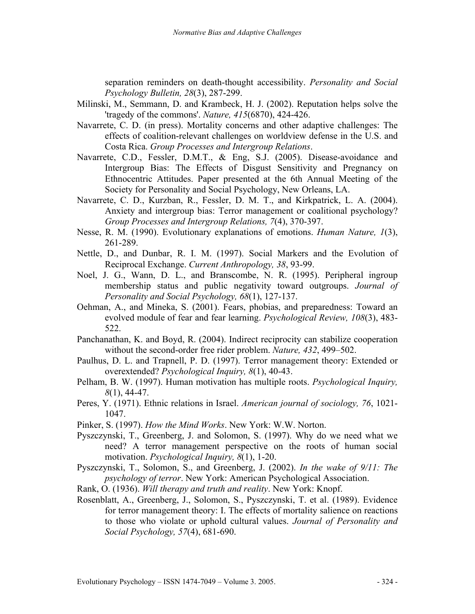separation reminders on death-thought accessibility. *Personality and Social Psychology Bulletin, 28*(3), 287-299.

- Milinski, M., Semmann, D. and Krambeck, H. J. (2002). Reputation helps solve the 'tragedy of the commons'. *Nature, 415*(6870), 424-426.
- Navarrete, C. D. (in press). Mortality concerns and other adaptive challenges: The effects of coalition-relevant challenges on worldview defense in the U.S. and Costa Rica. *Group Processes and Intergroup Relations*.
- Navarrete, C.D., Fessler, D.M.T., & Eng, S.J. (2005). Disease-avoidance and Intergroup Bias: The Effects of Disgust Sensitivity and Pregnancy on Ethnocentric Attitudes. Paper presented at the 6th Annual Meeting of the Society for Personality and Social Psychology, New Orleans, LA.
- Navarrete, C. D., Kurzban, R., Fessler, D. M. T., and Kirkpatrick, L. A. (2004). Anxiety and intergroup bias: Terror management or coalitional psychology? *Group Processes and Intergroup Relations, 7*(4), 370-397.
- Nesse, R. M. (1990). Evolutionary explanations of emotions. *Human Nature, 1*(3), 261-289.
- Nettle, D., and Dunbar, R. I. M. (1997). Social Markers and the Evolution of Reciprocal Exchange. *Current Anthropology, 38*, 93-99.
- Noel, J. G., Wann, D. L., and Branscombe, N. R. (1995). Peripheral ingroup membership status and public negativity toward outgroups. *Journal of Personality and Social Psychology, 68*(1), 127-137.
- Oehman, A., and Mineka, S. (2001). Fears, phobias, and preparedness: Toward an evolved module of fear and fear learning. *Psychological Review, 108*(3), 483- 522.
- Panchanathan, K. and Boyd, R. (2004). Indirect reciprocity can stabilize cooperation without the second-order free rider problem. *Nature, 432*, 499–502.
- Paulhus, D. L. and Trapnell, P. D. (1997). Terror management theory: Extended or overextended? *Psychological Inquiry, 8*(1), 40-43.
- Pelham, B. W. (1997). Human motivation has multiple roots. *Psychological Inquiry, 8*(1), 44-47.
- Peres, Y. (1971). Ethnic relations in Israel. *American journal of sociology, 76*, 1021- 1047.
- Pinker, S. (1997). *How the Mind Works*. New York: W.W. Norton.
- Pyszczynski, T., Greenberg, J. and Solomon, S. (1997). Why do we need what we need? A terror management perspective on the roots of human social motivation. *Psychological Inquiry, 8*(1), 1-20.
- Pyszczynski, T., Solomon, S., and Greenberg, J. (2002). *In the wake of 9/11: The psychology of terror*. New York: American Psychological Association.
- Rank, O. (1936). *Will therapy and truth and reality*. New York: Knopf.
- Rosenblatt, A., Greenberg, J., Solomon, S., Pyszczynski, T. et al. (1989). Evidence for terror management theory: I. The effects of mortality salience on reactions to those who violate or uphold cultural values. *Journal of Personality and Social Psychology, 57*(4), 681-690.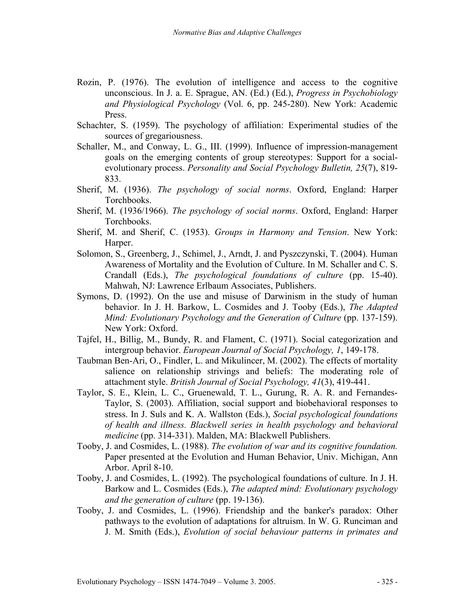- Rozin, P. (1976). The evolution of intelligence and access to the cognitive unconscious. In J. a. E. Sprague, AN. (Ed.) (Ed.), *Progress in Psychobiology and Physiological Psychology* (Vol. 6, pp. 245-280). New York: Academic Press.
- Schachter, S. (1959). The psychology of affiliation: Experimental studies of the sources of gregariousness.
- Schaller, M., and Conway, L. G., III. (1999). Influence of impression-management goals on the emerging contents of group stereotypes: Support for a socialevolutionary process. *Personality and Social Psychology Bulletin, 25*(7), 819- 833.
- Sherif, M. (1936). *The psychology of social norms*. Oxford, England: Harper Torchbooks.
- Sherif, M. (1936/1966). *The psychology of social norms*. Oxford, England: Harper Torchbooks.
- Sherif, M. and Sherif, C. (1953). *Groups in Harmony and Tension*. New York: Harper.
- Solomon, S., Greenberg, J., Schimel, J., Arndt, J. and Pyszczynski, T. (2004). Human Awareness of Mortality and the Evolution of Culture. In M. Schaller and C. S. Crandall (Eds.), *The psychological foundations of culture* (pp. 15-40). Mahwah, NJ: Lawrence Erlbaum Associates, Publishers.
- Symons, D. (1992). On the use and misuse of Darwinism in the study of human behavior. In J. H. Barkow, L. Cosmides and J. Tooby (Eds.), *The Adapted Mind: Evolutionary Psychology and the Generation of Culture* (pp. 137-159). New York: Oxford.
- Tajfel, H., Billig, M., Bundy, R. and Flament, C. (1971). Social categorization and intergroup behavior. *European Journal of Social Psychology, 1*, 149-178.
- Taubman Ben-Ari, O., Findler, L. and Mikulincer, M. (2002). The effects of mortality salience on relationship strivings and beliefs: The moderating role of attachment style. *British Journal of Social Psychology, 41*(3), 419-441.
- Taylor, S. E., Klein, L. C., Gruenewald, T. L., Gurung, R. A. R. and Fernandes-Taylor, S. (2003). Affiliation, social support and biobehavioral responses to stress. In J. Suls and K. A. Wallston (Eds.), *Social psychological foundations of health and illness. Blackwell series in health psychology and behavioral medicine* (pp. 314-331). Malden, MA: Blackwell Publishers.
- Tooby, J. and Cosmides, L. (1988). *The evolution of war and its cognitive foundation.* Paper presented at the Evolution and Human Behavior, Univ. Michigan, Ann Arbor. April 8-10.
- Tooby, J. and Cosmides, L. (1992). The psychological foundations of culture. In J. H. Barkow and L. Cosmides (Eds.), *The adapted mind: Evolutionary psychology and the generation of culture* (pp. 19-136).
- Tooby, J. and Cosmides, L. (1996). Friendship and the banker's paradox: Other pathways to the evolution of adaptations for altruism. In W. G. Runciman and J. M. Smith (Eds.), *Evolution of social behaviour patterns in primates and*